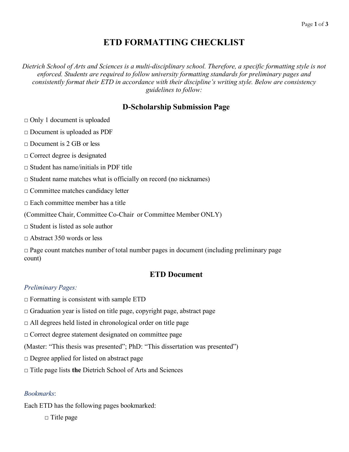# **ETD FORMATTING CHECKLIST**

*Dietrich School of Arts and Sciences is a multi-disciplinary school. Therefore, a specific formatting style is not enforced. Students are required to follow university formatting standards for preliminary pages and consistently format their ETD in accordance with their discipline's writing style. Below are consistency guidelines to follow:* 

## **D-Scholarship Submission Page**

 $\Box$  Only 1 document is uploaded

□ Document is uploaded as PDF

 $\Box$  Document is 2 GB or less

□ Correct degree is designated

 $\Box$  Student has name/initials in PDF title

 $\square$  Student name matches what is officially on record (no nicknames)

□ Committee matches candidacy letter

 $\Box$  Each committee member has a title

(Committee Chair, Committee Co-Chair or Committee Member ONLY)

 $\Box$  Student is listed as sole author

 $\Box$  Abstract 350 words or less

 $\Box$  Page count matches number of total number pages in document (including preliminary page count)

## **ETD Document**

### *Preliminary Pages:*

 $\Box$  Formatting is consistent with sample ETD

 $\Box$  Graduation year is listed on title page, copyright page, abstract page

 $\Box$  All degrees held listed in chronological order on title page

□ Correct degree statement designated on committee page

(Master: "This thesis was presented"; PhD: "This dissertation was presented")

□ Degree applied for listed on abstract page

□ Title page lists **the** Dietrich School of Arts and Sciences

#### *Bookmarks*:

Each ETD has the following pages bookmarked:

□ Title page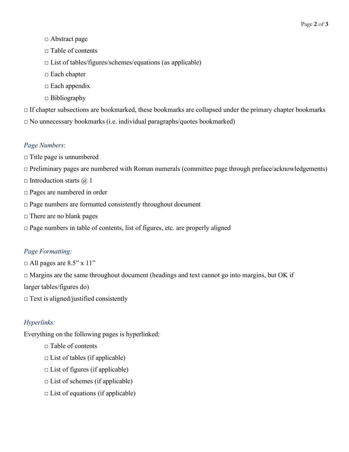- □ Abstract page
- □ Table of contents
- $\Box$  List of tables/figures/schemes/equations (as applicable)
- □ Each chapter
- $\square$  Each appendix
- $\Box$  Bibliography

 $\Box$  If chapter subsections are bookmarked, these bookmarks are collapsed under the primary chapter bookmarks  $\square$  No unnecessary bookmarks (i.e. individual paragraphs/quotes bookmarked)

#### *Page Numbers*:

- $\Box$  Title page is unnumbered
- $\Box$  Preliminary pages are numbered with Roman numerals (committee page through preface/acknowledgements)
- $\Box$  Introduction starts  $\omega$  1
- □ Pages are numbered in order
- □ Page numbers are formatted consistently throughout document
- □ There are no blank pages
- $\Box$  Page numbers in table of contents, list of figures, etc. are properly aligned

## *Page Formatting:*

 $\Box$  All pages are 8.5" x 11"

 $\Box$  Margins are the same throughout document (headings and text cannot go into margins, but OK if

larger tables/figures do)

 $\Box$  Text is aligned/justified consistently

## *Hyperlinks:*

Everything on the following pages is hyperlinked:

- $\Box$  Table of contents
- $\Box$  List of tables (if applicable)
- $\Box$  List of figures (if applicable)
- $\Box$  List of schemes (if applicable)
- $\Box$  List of equations (if applicable)